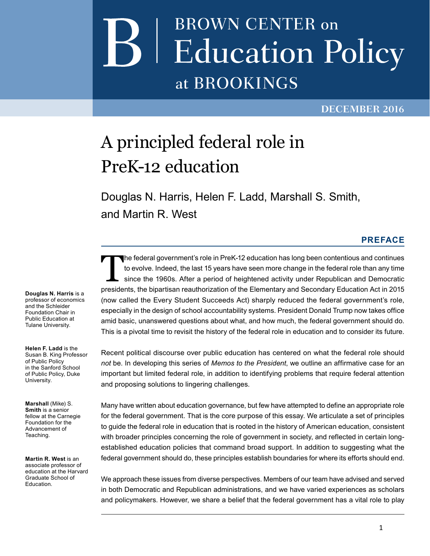# **BROWN CENTER on Education Policy** at BROOKINGS

#### **December 2016**

# A principled federal role in PreK-12 education

Douglas N. Harris, Helen F. Ladd, Marshall S. Smith, and Martin R. West

#### **Preface**

The federal government's role in PreK-12 education has long been contentious and continues<br>to evolve. Indeed, the last 15 years have seen more change in the federal role than any time<br>since the 1960s. After a period of hei to evolve. Indeed, the last 15 years have seen more change in the federal role than any time since the 1960s. After a period of heightened activity under Republican and Democratic presidents, the bipartisan reauthorization of the Elementary and Secondary Education Act in 2015 (now called the Every Student Succeeds Act) sharply reduced the federal government's role, especially in the design of school accountability systems. President Donald Trump now takes office amid basic, unanswered questions about what, and how much, the federal government should do. This is a pivotal time to revisit the history of the federal role in education and to consider its future.

Recent political discourse over public education has centered on what the federal role should *not* be. In developing this series of *Memos to the President*, we outline an affirmative case for an important but limited federal role, in addition to identifying problems that require federal attention and proposing solutions to lingering challenges.

Many have written about education governance, but few have attempted to define an appropriate role for the federal government. That is the core purpose of this essay. We articulate a set of principles to guide the federal role in education that is rooted in the history of American education, consistent with broader principles concerning the role of government in society, and reflected in certain longestablished education policies that command broad support. In addition to suggesting what the federal government should do, these principles establish boundaries for where its efforts should end.

We approach these issues from diverse perspectives. Members of our team have advised and served in both Democratic and Republican administrations, and we have varied experiences as scholars and policymakers. However, we share a belief that the federal government has a vital role to play

**Douglas N. Harris** is a professor of economics and the Schleider Foundation Chair in Public Education at Tulane University.

**Helen F. Ladd** is the Susan B. King Professor of Public Policy in the Sanford School of Public Policy, Duke University.

**Marshall** (Mike) S. **Smith** is a senior fellow at the Carnegie Foundation for the Advancement of Teaching.

**Martin R. West** is an associate professor of education at the Harvard Graduate School of Education.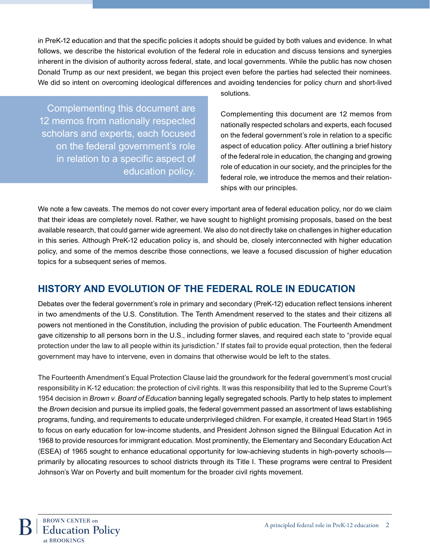in PreK-12 education and that the specific policies it adopts should be guided by both values and evidence. In what follows, we describe the historical evolution of the federal role in education and discuss tensions and synergies inherent in the division of authority across federal, state, and local governments. While the public has now chosen Donald Trump as our next president, we began this project even before the parties had selected their nominees. We did so intent on overcoming ideological differences and avoiding tendencies for policy churn and short-lived

Complementing this document are 12 memos from nationally respected scholars and experts, each focused on the federal government's role in relation to a specific aspect of education policy.

solutions.

Complementing this document are 12 memos from nationally respected scholars and experts, each focused on the federal government's role in relation to a specific aspect of education policy. After outlining a brief history of the federal role in education, the changing and growing role of education in our society, and the principles for the federal role, we introduce the memos and their relationships with our principles.

We note a few caveats. The memos do not cover every important area of federal education policy, nor do we claim that their ideas are completely novel. Rather, we have sought to highlight promising proposals, based on the best available research, that could garner wide agreement. We also do not directly take on challenges in higher education in this series. Although PreK-12 education policy is, and should be, closely interconnected with higher education policy, and some of the memos describe those connections, we leave a focused discussion of higher education topics for a subsequent series of memos.

## **History and evolution of the federal role in education**

Debates over the federal government's role in primary and secondary (PreK-12) education reflect tensions inherent in two amendments of the U.S. Constitution. The Tenth Amendment reserved to the states and their citizens all powers not mentioned in the Constitution, including the provision of public education. The Fourteenth Amendment gave citizenship to all persons born in the U.S., including former slaves, and required each state to "provide equal protection under the law to all people within its jurisdiction." If states fail to provide equal protection, then the federal government may have to intervene, even in domains that otherwise would be left to the states.

The Fourteenth Amendment's Equal Protection Clause laid the groundwork for the federal government's most crucial responsibility in K-12 education: the protection of civil rights. It was this responsibility that led to the Supreme Court's 1954 decision in *Brown v. Board of Education* banning legally segregated schools. Partly to help states to implement the *Brown* decision and pursue its implied goals, the federal government passed an assortment of laws establishing programs, funding, and requirements to educate underprivileged children. For example, it created Head Start in 1965 to focus on early education for low-income students, and President Johnson signed the Bilingual Education Act in 1968 to provide resources for immigrant education. Most prominently, the Elementary and Secondary Education Act (ESEA) of 1965 sought to enhance educational opportunity for low-achieving students in high-poverty schools primarily by allocating resources to school districts through its Title I. These programs were central to President Johnson's War on Poverty and built momentum for the broader civil rights movement.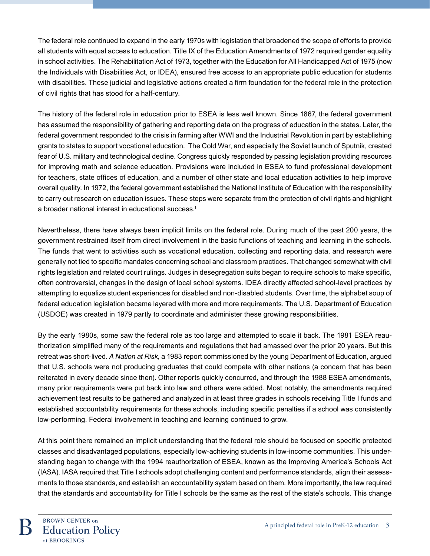The federal role continued to expand in the early 1970s with legislation that broadened the scope of efforts to provide all students with equal access to education. Title IX of the Education Amendments of 1972 required gender equality in school activities. The Rehabilitation Act of 1973, together with the Education for All Handicapped Act of 1975 (now the Individuals with Disabilities Act, or IDEA), ensured free access to an appropriate public education for students with disabilities. These judicial and legislative actions created a firm foundation for the federal role in the protection of civil rights that has stood for a half-century.

The history of the federal role in education prior to ESEA is less well known. Since 1867, the federal government has assumed the responsibility of gathering and reporting data on the progress of education in the states. Later, the federal government responded to the crisis in farming after WWI and the Industrial Revolution in part by establishing grants to states to support vocational education. The Cold War, and especially the Soviet launch of Sputnik, created fear of U.S. military and technological decline. Congress quickly responded by passing legislation providing resources for improving math and science education. Provisions were included in ESEA to fund professional development for teachers, state offices of education, and a number of other state and local education activities to help improve overall quality. In 1972, the federal government established the National Institute of Education with the responsibility to carry out research on education issues. These steps were separate from the protection of civil rights and highlight a broader national interest in educational success.<sup>1</sup>

Nevertheless, there have always been implicit limits on the federal role. During much of the past 200 years, the government restrained itself from direct involvement in the basic functions of teaching and learning in the schools. The funds that went to activities such as vocational education, collecting and reporting data, and research were generally not tied to specific mandates concerning school and classroom practices. That changed somewhat with civil rights legislation and related court rulings. Judges in desegregation suits began to require schools to make specific, often controversial, changes in the design of local school systems. IDEA directly affected school-level practices by attempting to equalize student experiences for disabled and non-disabled students. Over time, the alphabet soup of federal education legislation became layered with more and more requirements. The U.S. Department of Education (USDOE) was created in 1979 partly to coordinate and administer these growing responsibilities.

By the early 1980s, some saw the federal role as too large and attempted to scale it back. The 1981 ESEA reauthorization simplified many of the requirements and regulations that had amassed over the prior 20 years. But this retreat was short-lived. *A Nation at Risk*, a 1983 report commissioned by the young Department of Education, argued that U.S. schools were not producing graduates that could compete with other nations (a concern that has been reiterated in every decade since then). Other reports quickly concurred, and through the 1988 ESEA amendments, many prior requirements were put back into law and others were added. Most notably, the amendments required achievement test results to be gathered and analyzed in at least three grades in schools receiving Title I funds and established accountability requirements for these schools, including specific penalties if a school was consistently low-performing. Federal involvement in teaching and learning continued to grow.

At this point there remained an implicit understanding that the federal role should be focused on specific protected classes and disadvantaged populations, especially low-achieving students in low-income communities. This understanding began to change with the 1994 reauthorization of ESEA, known as the Improving America's Schools Act (IASA). IASA required that Title I schools adopt challenging content and performance standards, align their assessments to those standards, and establish an accountability system based on them. More importantly, the law required that the standards and accountability for Title I schools be the same as the rest of the state's schools. This change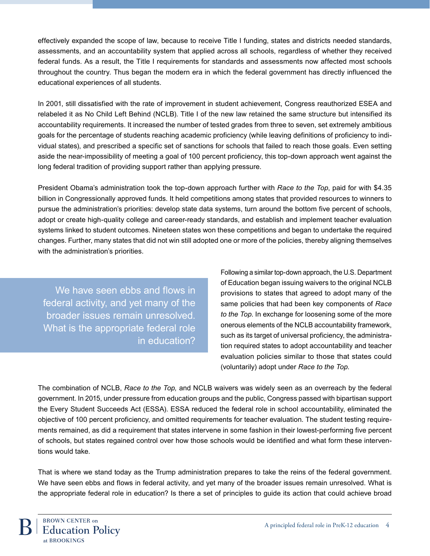effectively expanded the scope of law, because to receive Title I funding, states and districts needed standards, assessments, and an accountability system that applied across all schools, regardless of whether they received federal funds. As a result, the Title I requirements for standards and assessments now affected most schools throughout the country. Thus began the modern era in which the federal government has directly influenced the educational experiences of all students.

In 2001, still dissatisfied with the rate of improvement in student achievement, Congress reauthorized ESEA and relabeled it as No Child Left Behind (NCLB). Title I of the new law retained the same structure but intensified its accountability requirements. It increased the number of tested grades from three to seven, set extremely ambitious goals for the percentage of students reaching academic proficiency (while leaving definitions of proficiency to individual states), and prescribed a specific set of sanctions for schools that failed to reach those goals. Even setting aside the near-impossibility of meeting a goal of 100 percent proficiency, this top-down approach went against the long federal tradition of providing support rather than applying pressure.

President Obama's administration took the top-down approach further with *Race to the Top*, paid for with \$4.35 billion in Congressionally approved funds. It held competitions among states that provided resources to winners to pursue the administration's priorities: develop state data systems, turn around the bottom five percent of schools, adopt or create high-quality college and career-ready standards, and establish and implement teacher evaluation systems linked to student outcomes. Nineteen states won these competitions and began to undertake the required changes. Further, many states that did not win still adopted one or more of the policies, thereby aligning themselves with the administration's priorities.

We have seen ebbs and flows in federal activity, and yet many of the broader issues remain unresolved. What is the appropriate federal role in education?

Following a similar top-down approach, the U.S. Department of Education began issuing waivers to the original NCLB provisions to states that agreed to adopt many of the same policies that had been key components of *Race to the Top*. In exchange for loosening some of the more onerous elements of the NCLB accountability framework, such as its target of universal proficiency, the administration required states to adopt accountability and teacher evaluation policies similar to those that states could (voluntarily) adopt under *Race to the Top*.

The combination of NCLB, *Race to the Top,* and NCLB waivers was widely seen as an overreach by the federal government. In 2015, under pressure from education groups and the public, Congress passed with bipartisan support the Every Student Succeeds Act (ESSA). ESSA reduced the federal role in school accountability, eliminated the objective of 100 percent proficiency, and omitted requirements for teacher evaluation. The student testing requirements remained, as did a requirement that states intervene in some fashion in their lowest-performing five percent of schools, but states regained control over how those schools would be identified and what form these interventions would take.

That is where we stand today as the Trump administration prepares to take the reins of the federal government. We have seen ebbs and flows in federal activity, and yet many of the broader issues remain unresolved. What is the appropriate federal role in education? Is there a set of principles to guide its action that could achieve broad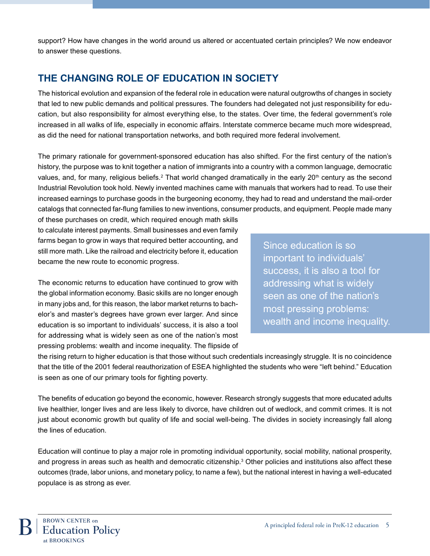support? How have changes in the world around us altered or accentuated certain principles? We now endeavor to answer these questions.

## **The changing role of education in society**

The historical evolution and expansion of the federal role in education were natural outgrowths of changes in society that led to new public demands and political pressures. The founders had delegated not just responsibility for education, but also responsibility for almost everything else, to the states. Over time, the federal government's role increased in all walks of life, especially in economic affairs. Interstate commerce became much more widespread, as did the need for national transportation networks, and both required more federal involvement.

The primary rationale for government-sponsored education has also shifted. For the first century of the nation's history, the purpose was to knit together a nation of immigrants into a country with a common language, democratic values, and, for many, religious beliefs.<sup>2</sup> That world changed dramatically in the early 20th century as the second Industrial Revolution took hold. Newly invented machines came with manuals that workers had to read. To use their increased earnings to purchase goods in the burgeoning economy, they had to read and understand the mail-order catalogs that connected far-flung families to new inventions, consumer products, and equipment. People made many

of these purchases on credit, which required enough math skills to calculate interest payments. Small businesses and even family farms began to grow in ways that required better accounting, and still more math. Like the railroad and electricity before it, education became the new route to economic progress.

The economic returns to education have continued to grow with the global information economy. Basic skills are no longer enough in many jobs and, for this reason, the labor market returns to bachelor's and master's degrees have grown ever larger. And since education is so important to individuals' success, it is also a tool for addressing what is widely seen as one of the nation's most pressing problems: wealth and income inequality. The flipside of

Since education is so important to individuals' success, it is also a tool for addressing what is widely seen as one of the nation's most pressing problems: wealth and income inequality.

the rising return to higher education is that those without such credentials increasingly struggle. It is no coincidence that the title of the 2001 federal reauthorization of ESEA highlighted the students who were "left behind." Education is seen as one of our primary tools for fighting poverty.

The benefits of education go beyond the economic, however. Research strongly suggests that more educated adults live healthier, longer lives and are less likely to divorce, have children out of wedlock, and commit crimes. It is not just about economic growth but quality of life and social well-being. The divides in society increasingly fall along the lines of education.

Education will continue to play a major role in promoting individual opportunity, social mobility, national prosperity, and progress in areas such as health and democratic citizenship.<sup>3</sup> Other policies and institutions also affect these outcomes (trade, labor unions, and monetary policy, to name a few), but the national interest in having a well-educated populace is as strong as ever.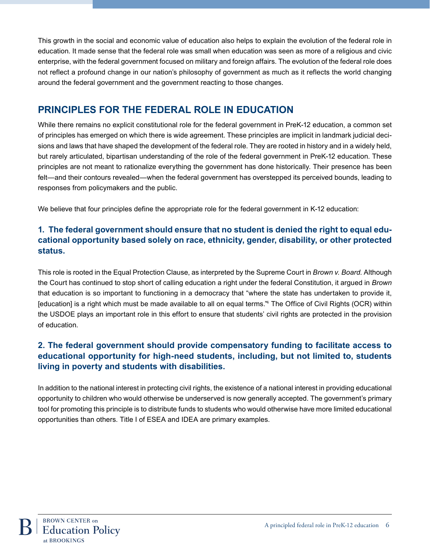This growth in the social and economic value of education also helps to explain the evolution of the federal role in education. It made sense that the federal role was small when education was seen as more of a religious and civic enterprise, with the federal government focused on military and foreign affairs. The evolution of the federal role does not reflect a profound change in our nation's philosophy of government as much as it reflects the world changing around the federal government and the government reacting to those changes.

#### **Principles for the federal role in education**

While there remains no explicit constitutional role for the federal government in PreK-12 education, a common set of principles has emerged on which there is wide agreement. These principles are implicit in landmark judicial decisions and laws that have shaped the development of the federal role. They are rooted in history and in a widely held, but rarely articulated, bipartisan understanding of the role of the federal government in PreK-12 education. These principles are not meant to rationalize everything the government has done historically. Their presence has been felt—and their contours revealed—when the federal government has overstepped its perceived bounds, leading to responses from policymakers and the public.

We believe that four principles define the appropriate role for the federal government in K-12 education:

#### **1. The federal government should ensure that no student is denied the right to equal educational opportunity based solely on race, ethnicity, gender, disability, or other protected status.**

This role is rooted in the Equal Protection Clause, as interpreted by the Supreme Court in *Brown v. Board.* Although the Court has continued to stop short of calling education a right under the federal Constitution, it argued in *Brown*  that education is so important to functioning in a democracy that "where the state has undertaken to provide it, [education] is a right which must be made available to all on equal terms."<sup>4</sup> The Office of Civil Rights (OCR) within the USDOE plays an important role in this effort to ensure that students' civil rights are protected in the provision of education.

#### **2. The federal government should provide compensatory funding to facilitate access to educational opportunity for high-need students, including, but not limited to, students living in poverty and students with disabilities.**

In addition to the national interest in protecting civil rights, the existence of a national interest in providing educational opportunity to children who would otherwise be underserved is now generally accepted. The government's primary tool for promoting this principle is to distribute funds to students who would otherwise have more limited educational opportunities than others. Title I of ESEA and IDEA are primary examples.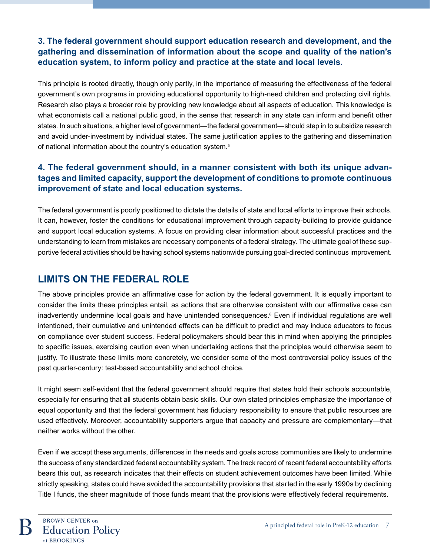#### **3. The federal government should support education research and development, and the gathering and dissemination of information about the scope and quality of the nation's education system, to inform policy and practice at the state and local levels.**

This principle is rooted directly, though only partly, in the importance of measuring the effectiveness of the federal government's own programs in providing educational opportunity to high-need children and protecting civil rights. Research also plays a broader role by providing new knowledge about all aspects of education. This knowledge is what economists call a national public good, in the sense that research in any state can inform and benefit other states. In such situations, a higher level of government—the federal government—should step in to subsidize research and avoid under-investment by individual states. The same justification applies to the gathering and dissemination of national information about the country's education system.<sup>5</sup>

#### **4. The federal government should, in a manner consistent with both its unique advantages and limited capacity, support the development of conditions to promote continuous improvement of state and local education systems.**

The federal government is poorly positioned to dictate the details of state and local efforts to improve their schools. It can, however, foster the conditions for educational improvement through capacity-building to provide guidance and support local education systems. A focus on providing clear information about successful practices and the understanding to learn from mistakes are necessary components of a federal strategy. The ultimate goal of these supportive federal activities should be having school systems nationwide pursuing goal-directed continuous improvement.

#### **Limits on the federal role**

The above principles provide an affirmative case for action by the federal government. It is equally important to consider the limits these principles entail, as actions that are otherwise consistent with our affirmative case can inadvertently undermine local goals and have unintended consequences.<sup>6</sup> Even if individual regulations are well intentioned, their cumulative and unintended effects can be difficult to predict and may induce educators to focus on compliance over student success. Federal policymakers should bear this in mind when applying the principles to specific issues, exercising caution even when undertaking actions that the principles would otherwise seem to justify. To illustrate these limits more concretely, we consider some of the most controversial policy issues of the past quarter-century: test-based accountability and school choice.

It might seem self-evident that the federal government should require that states hold their schools accountable, especially for ensuring that all students obtain basic skills. Our own stated principles emphasize the importance of equal opportunity and that the federal government has fiduciary responsibility to ensure that public resources are used effectively. Moreover, accountability supporters argue that capacity and pressure are complementary—that neither works without the other.

Even if we accept these arguments, differences in the needs and goals across communities are likely to undermine the success of any standardized federal accountability system. The track record of recent federal accountability efforts bears this out, as research indicates that their effects on student achievement outcomes have been limited. While strictly speaking, states could have avoided the accountability provisions that started in the early 1990s by declining Title I funds, the sheer magnitude of those funds meant that the provisions were effectively federal requirements.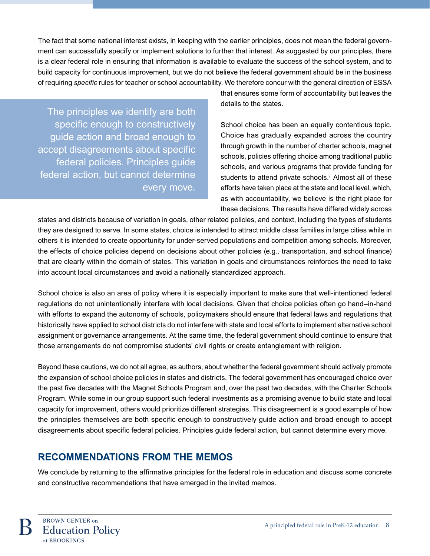The fact that some national interest exists, in keeping with the earlier principles, does not mean the federal government can successfully specify or implement solutions to further that interest. As suggested by our principles, there is a clear federal role in ensuring that information is available to evaluate the success of the school system, and to build capacity for continuous improvement, but we do not believe the federal government should be in the business of requiring *specific* rules for teacher or school accountability. We therefore concur with the general direction of ESSA

The principles we identify are both specific enough to constructively guide action and broad enough to accept disagreements about specific federal policies. Principles guide federal action, but cannot determine every move.

that ensures some form of accountability but leaves the details to the states.

School choice has been an equally contentious topic. Choice has gradually expanded across the country through growth in the number of charter schools, magnet schools, policies offering choice among traditional public schools, and various programs that provide funding for students to attend private schools.<sup>7</sup> Almost all of these efforts have taken place at the state and local level, which, as with accountability, we believe is the right place for these decisions. The results have differed widely across

states and districts because of variation in goals, other related policies, and context, including the types of students they are designed to serve. In some states, choice is intended to attract middle class families in large cities while in others it is intended to create opportunity for under-served populations and competition among schools. Moreover, the effects of choice policies depend on decisions about other policies (e.g., transportation, and school finance) that are clearly within the domain of states. This variation in goals and circumstances reinforces the need to take into account local circumstances and avoid a nationally standardized approach.

School choice is also an area of policy where it is especially important to make sure that well-intentioned federal regulations do not unintentionally interfere with local decisions. Given that choice policies often go hand–in-hand with efforts to expand the autonomy of schools, policymakers should ensure that federal laws and regulations that historically have applied to school districts do not interfere with state and local efforts to implement alternative school assignment or governance arrangements. At the same time, the federal government should continue to ensure that those arrangements do not compromise students' civil rights or create entanglement with religion.

Beyond these cautions, we do not all agree, as authors, about whether the federal government should actively promote the expansion of school choice policies in states and districts. The federal government has encouraged choice over the past five decades with the Magnet Schools Program and, over the past two decades, with the Charter Schools Program. While some in our group support such federal investments as a promising avenue to build state and local capacity for improvement, others would prioritize different strategies. This disagreement is a good example of how the principles themselves are both specific enough to constructively guide action and broad enough to accept disagreements about specific federal policies. Principles guide federal action, but cannot determine every move.

#### **Recommendations from the memos**

We conclude by returning to the affirmative principles for the federal role in education and discuss some concrete and constructive recommendations that have emerged in the invited memos.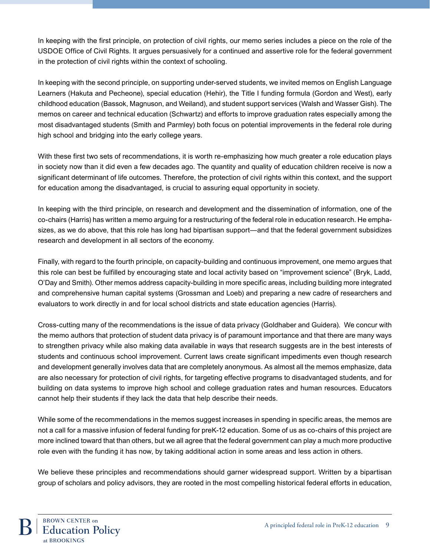In keeping with the first principle, on protection of civil rights, our memo series includes a piece on the role of the USDOE Office of Civil Rights. It argues persuasively for a continued and assertive role for the federal government in the protection of civil rights within the context of schooling.

In keeping with the second principle, on supporting under-served students, we invited memos on English Language Learners (Hakuta and Pecheone), special education (Hehir), the Title I funding formula (Gordon and West), early childhood education (Bassok, Magnuson, and Weiland), and student support services (Walsh and Wasser Gish). The memos on career and technical education (Schwartz) and efforts to improve graduation rates especially among the most disadvantaged students (Smith and Parmley) both focus on potential improvements in the federal role during high school and bridging into the early college years.

With these first two sets of recommendations, it is worth re-emphasizing how much greater a role education plays in society now than it did even a few decades ago. The quantity and quality of education children receive is now a significant determinant of life outcomes. Therefore, the protection of civil rights within this context, and the support for education among the disadvantaged, is crucial to assuring equal opportunity in society.

In keeping with the third principle, on research and development and the dissemination of information, one of the co-chairs (Harris) has written a memo arguing for a restructuring of the federal role in education research. He emphasizes, as we do above, that this role has long had bipartisan support—and that the federal government subsidizes research and development in all sectors of the economy.

Finally, with regard to the fourth principle, on capacity-building and continuous improvement, one memo argues that this role can best be fulfilled by encouraging state and local activity based on "improvement science" (Bryk, Ladd, O'Day and Smith). Other memos address capacity-building in more specific areas, including building more integrated and comprehensive human capital systems (Grossman and Loeb) and preparing a new cadre of researchers and evaluators to work directly in and for local school districts and state education agencies (Harris).

Cross-cutting many of the recommendations is the issue of data privacy (Goldhaber and Guidera). We concur with the memo authors that protection of student data privacy is of paramount importance and that there are many ways to strengthen privacy while also making data available in ways that research suggests are in the best interests of students and continuous school improvement. Current laws create significant impediments even though research and development generally involves data that are completely anonymous. As almost all the memos emphasize, data are also necessary for protection of civil rights, for targeting effective programs to disadvantaged students, and for building on data systems to improve high school and college graduation rates and human resources. Educators cannot help their students if they lack the data that help describe their needs.

While some of the recommendations in the memos suggest increases in spending in specific areas, the memos are not a call for a massive infusion of federal funding for preK-12 education. Some of us as co-chairs of this project are more inclined toward that than others, but we all agree that the federal government can play a much more productive role even with the funding it has now, by taking additional action in some areas and less action in others.

We believe these principles and recommendations should garner widespread support. Written by a bipartisan group of scholars and policy advisors, they are rooted in the most compelling historical federal efforts in education,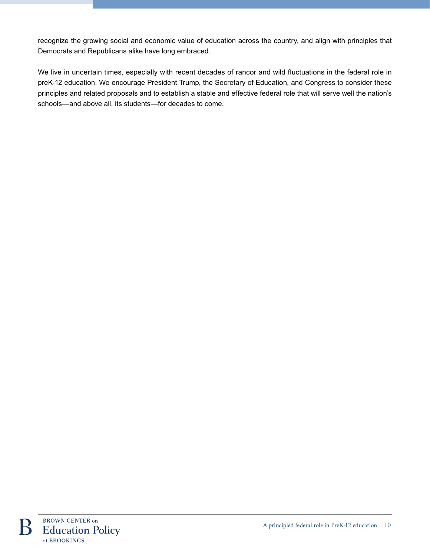recognize the growing social and economic value of education across the country, and align with principles that Democrats and Republicans alike have long embraced.

We live in uncertain times, especially with recent decades of rancor and wild fluctuations in the federal role in preK-12 education. We encourage President Trump, the Secretary of Education, and Congress to consider these principles and related proposals and to establish a stable and effective federal role that will serve well the nation's schools—and above all, its students—for decades to come.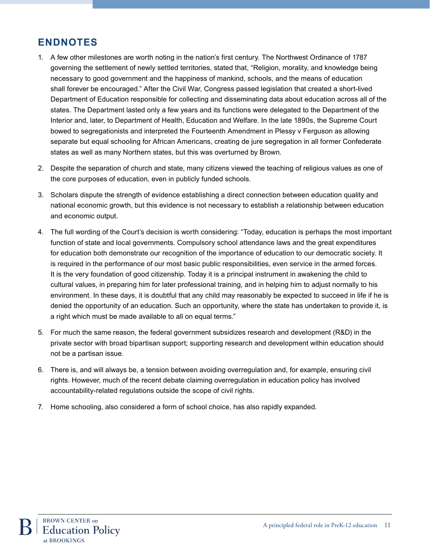#### **Endnotes**

- 1. A few other milestones are worth noting in the nation's first century. The Northwest Ordinance of 1787 governing the settlement of newly settled territories, stated that, "Religion, morality, and knowledge being necessary to good government and the happiness of mankind, schools, and the means of education shall forever be encouraged." After the Civil War, Congress passed legislation that created a short-lived Department of Education responsible for collecting and disseminating data about education across all of the states. The Department lasted only a few years and its functions were delegated to the Department of the Interior and, later, to Department of Health, Education and Welfare. In the late 1890s, the Supreme Court bowed to segregationists and interpreted the Fourteenth Amendment in Plessy v Ferguson as allowing separate but equal schooling for African Americans, creating de jure segregation in all former Confederate states as well as many Northern states, but this was overturned by Brown.
- 2. Despite the separation of church and state, many citizens viewed the teaching of religious values as one of the core purposes of education, even in publicly funded schools.
- 3. Scholars dispute the strength of evidence establishing a direct connection between education quality and national economic growth, but this evidence is not necessary to establish a relationship between education and economic output.
- 4. The full wording of the Court's decision is worth considering: "Today, education is perhaps the most important function of state and local governments. Compulsory school attendance laws and the great expenditures for education both demonstrate our recognition of the importance of education to our democratic society. It is required in the performance of our most basic public responsibilities, even service in the armed forces. It is the very foundation of good citizenship. Today it is a principal instrument in awakening the child to cultural values, in preparing him for later professional training, and in helping him to adjust normally to his environment. In these days, it is doubtful that any child may reasonably be expected to succeed in life if he is denied the opportunity of an education. Such an opportunity, where the state has undertaken to provide it, is a right which must be made available to all on equal terms."
- 5. For much the same reason, the federal government subsidizes research and development (R&D) in the private sector with broad bipartisan support; supporting research and development within education should not be a partisan issue.
- 6. There is, and will always be, a tension between avoiding overregulation and, for example, ensuring civil rights. However, much of the recent debate claiming overregulation in education policy has involved accountability-related regulations outside the scope of civil rights.
- 7. Home schooling, also considered a form of school choice, has also rapidly expanded.